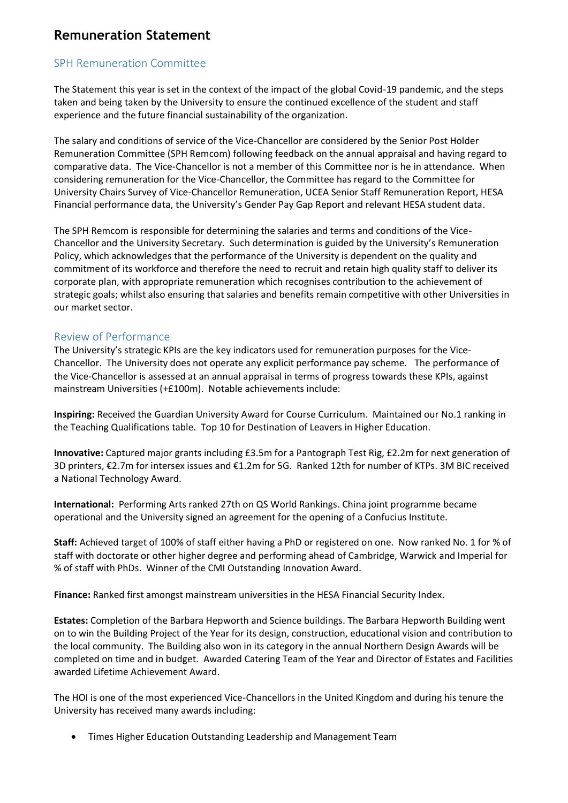# **Remuneration Statement**

## SPH Remuneration Committee

The Statement this year is set in the context of the impact of the global Covid-19 pandemic, and the steps taken and being taken by the University to ensure the continued excellence of the student and staff experience and the future financial sustainability of the organization.

The salary and conditions of service of the Vice-Chancellor are considered by the Senior Post Holder Remuneration Committee (SPH Remcom) following feedback on the annual appraisal and having regard to comparative data. The Vice-Chancellor is not a member of this Committee nor is he in attendance. When considering remuneration for the Vice-Chancellor, the Committee has regard to the Committee for University Chairs Survey of Vice-Chancellor Remuneration, UCEA Senior Staff Remuneration Report, HESA Financial performance data, the University's Gender Pay Gap Report and relevant HESA student data.

The SPH Remcom is responsible for determining the salaries and terms and conditions of the Vice-Chancellor and the University Secretary. Such determination is guided by the University's Remuneration Policy, which acknowledges that the performance of the University is dependent on the quality and commitment of its workforce and therefore the need to recruit and retain high quality staff to deliver its corporate plan, with appropriate remuneration which recognises contribution to the achievement of strategic goals; whilst also ensuring that salaries and benefits remain competitive with other Universities in our market sector.

### Review of Performance

The University's strategic KPIs are the key indicators used for remuneration purposes for the Vice-Chancellor. The University does not operate any explicit performance pay scheme. The performance of the Vice-Chancellor is assessed at an annual appraisal in terms of progress towards these KPIs, against mainstream Universities (+£100m). Notable achievements include:

**Inspiring:** Received the Guardian University Award for Course Curriculum. Maintained our No.1 ranking in the Teaching Qualifications table. Top 10 for Destination of Leavers in Higher Education.

**Innovative:** Captured major grants including £3.5m for a Pantograph Test Rig, £2.2m for next generation of 3D printers, €2.7m for intersex issues and €1.2m for 5G. Ranked 12th for number of KTPs. 3M BIC received a National Technology Award.

**International:** Performing Arts ranked 27th on QS World Rankings. China joint programme became operational and the University signed an agreement for the opening of a Confucius Institute.

**Staff:** Achieved target of 100% of staff either having a PhD or registered on one. Now ranked No. 1 for % of staff with doctorate or other higher degree and performing ahead of Cambridge, Warwick and Imperial for % of staff with PhDs. Winner of the CMI Outstanding Innovation Award.

**Finance:** Ranked first amongst mainstream universities in the HESA Financial Security Index.

**Estates:** Completion of the Barbara Hepworth and Science buildings. The Barbara Hepworth Building went on to win the Building Project of the Year for its design, construction, educational vision and contribution to the local community. The Building also won in its category in the annual Northern Design Awards will be completed on time and in budget. Awarded Catering Team of the Year and Director of Estates and Facilities awarded Lifetime Achievement Award.

The HOI is one of the most experienced Vice-Chancellors in the United Kingdom and during his tenure the University has received many awards including:

• Times Higher Education Outstanding Leadership and Management Team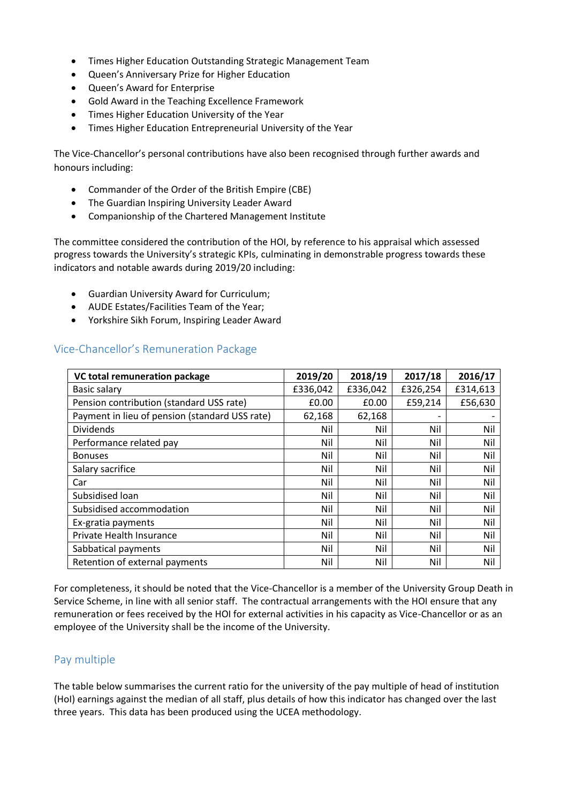- Times Higher Education Outstanding Strategic Management Team
- Queen's Anniversary Prize for Higher Education
- Queen's Award for Enterprise
- Gold Award in the Teaching Excellence Framework
- Times Higher Education University of the Year
- Times Higher Education Entrepreneurial University of the Year

The Vice-Chancellor's personal contributions have also been recognised through further awards and honours including:

- Commander of the Order of the British Empire (CBE)
- The Guardian Inspiring University Leader Award
- Companionship of the Chartered Management Institute

The committee considered the contribution of the HOI, by reference to his appraisal which assessed progress towards the University's strategic KPIs, culminating in demonstrable progress towards these indicators and notable awards during 2019/20 including:

- Guardian University Award for Curriculum;
- AUDE Estates/Facilities Team of the Year;
- Yorkshire Sikh Forum, Inspiring Leader Award

## Vice-Chancellor's Remuneration Package

| VC total remuneration package                  | 2019/20  | 2018/19  | 2017/18  | 2016/17  |
|------------------------------------------------|----------|----------|----------|----------|
| <b>Basic salary</b>                            | £336,042 | £336,042 | £326,254 | £314,613 |
| Pension contribution (standard USS rate)       | £0.00    | £0.00    | £59,214  | £56,630  |
| Payment in lieu of pension (standard USS rate) | 62,168   | 62,168   |          |          |
| <b>Dividends</b>                               | Nil      | Nil      | Nil      | Nil      |
| Performance related pay                        | Nil      | Nil      | Nil      | Nil      |
| <b>Bonuses</b>                                 | Nil      | Nil      | Nil      | Nil      |
| Salary sacrifice                               | Nil      | Nil      | Nil      | Nil      |
| Car                                            | Nil      | Nil      | Nil      | Nil      |
| Subsidised loan                                | Nil      | Nil      | Nil      | Nil      |
| Subsidised accommodation                       | Nil      | Nil      | Nil      | Nil      |
| Ex-gratia payments                             | Nil      | Nil      | Nil      | Nil      |
| Private Health Insurance                       | Nil      | Nil      | Nil      | Nil      |
| Sabbatical payments                            | Nil      | Nil      | Nil      | Nil      |
| Retention of external payments                 | Nil      | Nil      | Nil      | Nil      |

For completeness, it should be noted that the Vice-Chancellor is a member of the University Group Death in Service Scheme, in line with all senior staff.The contractual arrangements with the HOI ensure that any remuneration or fees received by the HOI for external activities in his capacity as Vice-Chancellor or as an employee of the University shall be the income of the University.

#### Pay multiple

The table below summarises the current ratio for the university of the pay multiple of head of institution (HoI) earnings against the median of all staff, plus details of how this indicator has changed over the last three years. This data has been produced using the UCEA methodology.